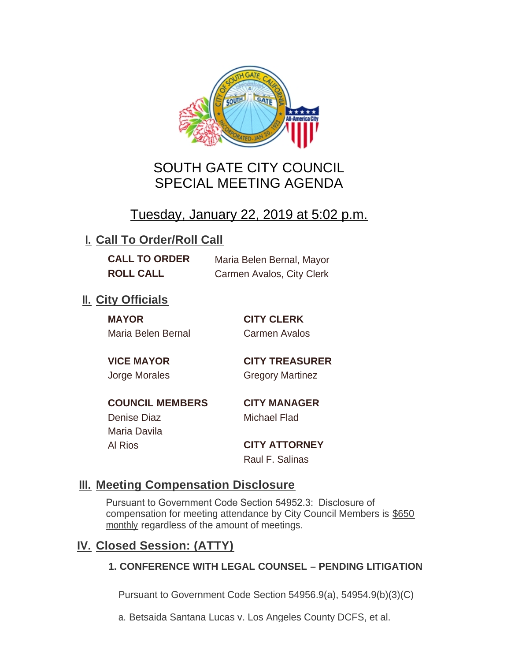

# SOUTH GATE CITY COUNCIL SPECIAL MEETING AGENDA

# Tuesday, January 22, 2019 at 5:02 p.m.

## **I. Call To Order/Roll Call**

**CALL TO ORDER** Maria Belen Bernal, Mayor **ROLL CALL** Carmen Avalos, City Clerk

## **II.** City Officials

**MAYOR CITY CLERK** Maria Belen Bernal Carmen Avalos

**VICE MAYOR CITY TREASURER** Jorge Morales Gregory Martinez

**COUNCIL MEMBERS CITY MANAGER** Denise Diaz Michael Flad Maria Davila

Al Rios **CITY ATTORNEY** Raul F. Salinas

### **Meeting Compensation Disclosure III.**

Pursuant to Government Code Section 54952.3: Disclosure of compensation for meeting attendance by City Council Members is \$650 monthly regardless of the amount of meetings.

### **Closed Session: (ATTY) IV.**

#### **1. CONFERENCE WITH LEGAL COUNSEL – PENDING LITIGATION**

Pursuant to Government Code Section 54956.9(a), 54954.9(b)(3)(C)

a. Betsaida Santana Lucas v. Los Angeles County DCFS, et al.